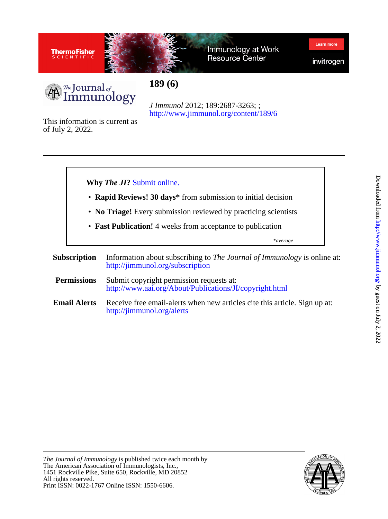



Immunology at Work Resource Center



Learn mon



**189 (6)**

<http://www.jimmunol.org/content/189/6> *J Immunol* 2012; 189:2687-3263; ;

of July 2, 2022. This information is current as



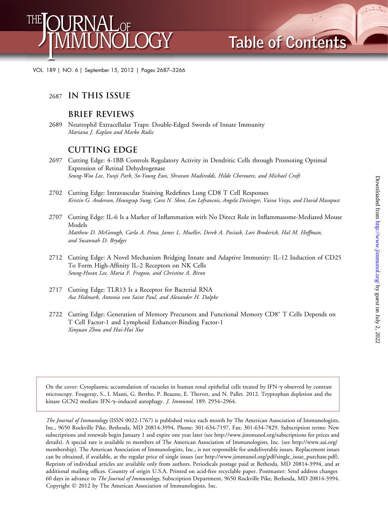

VOL. 189 | NO. 6 | September 15, 2012 | Pages 2687–3266

#### 2687 **IN THIS ISSUE**

### **BRIEF REVIEWS**

2689 Neutrophil Extracellular Traps: Double-Edged Swords of Innate Immunity Mariana J. Kaplan and Marko Radic

# **CUTTING EDGE**

- 2697 Cutting Edge: 4-1BB Controls Regulatory Activity in Dendritic Cells through Promoting Optimal Expression of Retinal Dehydrogenase Seung-Woo Lee, Yunji Park, So-Young Eun, Shravan Madireddi, Hilde Cheroutre, and Michael Croft
- 2702 Cutting Edge: Intravascular Staining Redefines Lung CD8 T Cell Responses Kristin G. Anderson, Heungsup Sung, Cara N. Skon, Leo Lefrancois, Angela Deisinger, Vaiva Vezys, and David Masopust
- 2707 Cutting Edge: IL-6 Is a Marker of Inflammation with No Direct Role in Inflammasome-Mediated Mouse Models Matthew D. McGeough, Carla A. Pena, James L. Mueller, Derek A. Pociask, Lori Broderick, Hal M. Hoffman, and Susannah D. Brydges
- 2712 Cutting Edge: A Novel Mechanism Bridging Innate and Adaptive Immunity: IL-12 Induction of CD25 To Form High-Affinity IL-2 Receptors on NK Cells Seung-Hwan Lee, Maria F. Fragoso, and Christine A. Biron
- 2717 Cutting Edge: TLR13 Is a Receptor for Bacterial RNA Asa Hidmark, Antonia von Saint Paul, and Alexander H. Dalpke
- 2722 Cutting Edge: Generation of Memory Precursors and Functional Memory CD8<sup>+</sup> T Cells Depends on T Cell Factor-1 and Lymphoid Enhancer-Binding Factor-1 Xinyuan Zhou and Hai-Hui Xue

On the cover: Cytoplasmic accumulation of vacuoles in human renal epithelial cells treated by IFN-g observed by contrast microscopy. Fougeray, S., I. Mami, G. Bertho, P. Beaune, E. Thervet, and N. Pallet. 2012. Tryptophan depletion and the kinase GCN2 mediate IFN-y-induced autophagy. J. Immunol. 189: 2954-2964.

The Journal of Immunology (ISSN 0022-1767) is published twice each month by The American Association of Immunologists, Inc., 9650 Rockville Pike, Bethesda, MD 20814-3994, Phone: 301-634-7197, Fax: 301-634-7829. Subscription terms: New subscriptions and renewals begin January 1 and expire one year later (see http://www.jimmunol.org/subscriptions for prices and details). A special rate is available to members of The American Association of Immunologists, Inc. (see [http://www.aai.org/](http://www.aai.org/membership) [membership](http://www.aai.org/membership)). The American Association of Immunologists, Inc., is not responsible for undeliverable issues. Replacement issues can be obtained, if available, at the regular price of single issues (see http://www.jimmunol.org/pdf/single\_issue\_purchase.pdf). Reprints of individual articles are available only from authors. Periodicals postage paid at Bethesda, MD 20814-3994, and at additional mailing offices. Country of origin U.S.A. Printed on acid-free recyclable paper. Postmaster: Send address changes 60 days in advance to The Journal of Immunology, Subscription Department, 9650 Rockville Pike, Bethesda, MD 20814-3994. Copyright © 2012 by The American Association of Immunologists, Inc.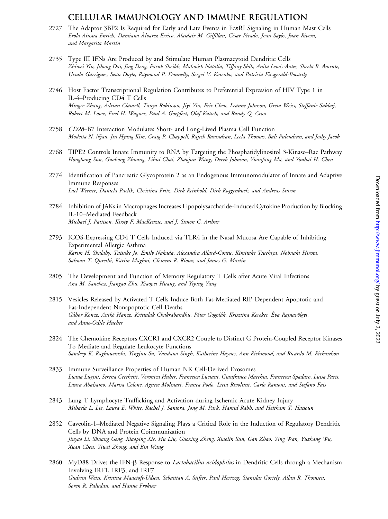## **CELLULAR IMMUNOLOGY AND IMMUNE REGULATION**

- 2727 The Adaptor 3BP2 Is Required for Early and Late Events in FceRI Signaling in Human Mast Cells Erola Ainsua-Enrich, Damiana Álvarez-Errico, Alasdair M. Gilfillan, César Picado, Joan Sayós, Juan Rivera, and Margarita Martín
- 2735 Type III IFNs Are Produced by and Stimulate Human Plasmacytoid Dendritic Cells Zhiwei Yin, Jihong Dai, Jing Deng, Faruk Sheikh, Mahwish Natalia, Tiffany Shih, Anita Lewis-Antes, Sheela B. Amrute, Ursula Garrigues, Sean Doyle, Raymond P. Donnelly, Sergei V. Kotenko, and Patricia Fitzgerald-Bocarsly
- 2746 Host Factor Transcriptional Regulation Contributes to Preferential Expression of HIV Type 1 in IL-4–Producing CD4 T Cells Mingce Zhang, Adrian Clausell, Tanya Robinson, Jiyi Yin, Eric Chen, Leanne Johnson, Greta Weiss, Steffanie Sabbaj, Robert M. Lowe, Fred H. Wagner, Paul A. Goepfert, Olaf Kutsch, and Randy Q. Cron
- 2758 CD28–B7 Interaction Modulates Short- and Long-Lived Plasma Cell Function Modesta N. Njau, Jin Hyang Kim, Craig P. Chappell, Rajesh Ravindran, Leela Thomas, Bali Pulendran, and Joshy Jacob
- 2768 TIPE2 Controls Innate Immunity to RNA by Targeting the Phosphatidylinositol 3-Kinase–Rac Pathway Honghong Sun, Guohong Zhuang, Lihui Chai, Zhaojun Wang, Derek Johnson, Yuanfang Ma, and Youhai H. Chen
- 2774 Identification of Pancreatic Glycoprotein 2 as an Endogenous Immunomodulator of Innate and Adaptive Immune Responses Lael Werner, Daniela Paclik, Christina Fritz, Dirk Reinhold, Dirk Roggenbuck, and Andreas Sturm
- 2784 Inhibition of JAKs in Macrophages Increases Lipopolysaccharide-Induced Cytokine Production by Blocking IL-10–Mediated Feedback Michael J. Pattison, Kirsty F. MacKenzie, and J. Simon C. Arthur
- 2793 ICOS-Expressing CD4 T Cells Induced via TLR4 in the Nasal Mucosa Are Capable of Inhibiting Experimental Allergic Asthma Karim H. Shalaby, Taisuke Jo, Emily Nakada, Alexandra Allard-Coutu, Kimitake Tsuchiya, Nobuaki Hirota, Salman T. Qureshi, Karim Maghni, Clément R. Rioux, and James G. Martin
- 2805 The Development and Function of Memory Regulatory T Cells after Acute Viral Infections Ana M. Sanchez, Jiangao Zhu, Xiaopei Huang, and Yiping Yang
- 2815 Vesicles Released by Activated T Cells Induce Both Fas-Mediated RIP-Dependent Apoptotic and Fas-Independent Nonapoptotic Cell Deaths Gábor Koncz, Anikó Hancz, Krittalak Chakrabandhu, Péter Gogolák, Krisztina Kerekes, Éva Rajnavölgyi, and Anne-Odile Hueber
- 2824 The Chemokine Receptors CXCR1 and CXCR2 Couple to Distinct G Protein-Coupled Receptor Kinases To Mediate and Regulate Leukocyte Functions Sandeep K. Raghuwanshi, Yingjun Su, Vandana Singh, Katherine Haynes, Ann Richmond, and Ricardo M. Richardson
- 2833 Immune Surveillance Properties of Human NK Cell-Derived Exosomes Luana Lugini, Serena Cecchetti, Veronica Huber, Francesca Luciani, Gianfranco Macchia, Francesca Spadaro, Luisa Paris, Laura Abalsamo, Marisa Colone, Agnese Molinari, Franca Podo, Licia Rivoltini, Carlo Ramoni, and Stefano Fais
- 2843 Lung T Lymphocyte Trafficking and Activation during Ischemic Acute Kidney Injury Mihaela L. Lie, Laura E. White, Rachel J. Santora, Jong M. Park, Hamid Rabb, and Heitham T. Hassoun
- 2852 Caveolin-1–Mediated Negative Signaling Plays a Critical Role in the Induction of Regulatory Dendritic Cells by DNA and Protein Coimmunization Jinyao Li, Shuang Geng, Xiaoping Xie, Hu Liu, Guoxing Zheng, Xiaolin Sun, Gan Zhao, Ying Wan, Yuzhang Wu, Xuan Chen, Yiwei Zhong, and Bin Wang
- 2860 MyD88 Drives the IFN-ß Response to *Lactobacillus acidophilus* in Dendritic Cells through a Mechanism Involving IRF1, IRF3, and IRF7 Gudrun Weiss, Kristina Maaetoft-Udsen, Sebastian A. Stifter, Paul Hertzog, Stanislas Goriely, Allan R. Thomsen, Søren R. Paludan, and Hanne Frøkiær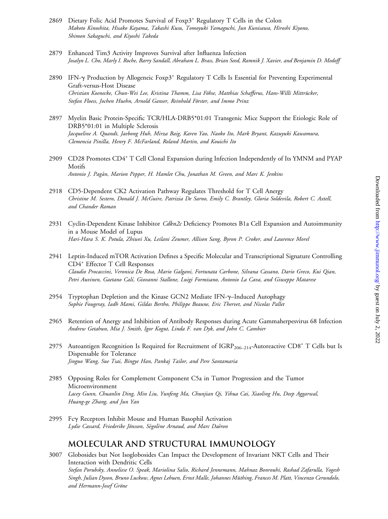- 2869 Dietary Folic Acid Promotes Survival of Foxp3<sup>+</sup> Regulatory T Cells in the Colon Makoto Kinoshita, Hisako Kayama, Takashi Kusu, Tomoyuki Yamaguchi, Jun Kunisawa, Hiroshi Kiyono, Shimon Sakaguchi, and Kiyoshi Takeda
- 2879 Enhanced Tim3 Activity Improves Survival after Influenza Infection Josalyn L. Cho, Marly I. Roche, Barry Sandall, Abraham L. Brass, Brian Seed, Ramnik J. Xavier, and Benjamin D. Medoff
- 2890 IFN-g Production by Allogeneic Foxp3<sup>+</sup> Regulatory T Cells Is Essential for Preventing Experimental Graft-versus-Host Disease Christian Koenecke, Chun-Wei Lee, Kristina Thamm, Lisa Föhse, Matthias Schafferus, Hans-Willi Mittrücker, Stefan Floess, Jochen Huehn, Arnold Ganser, Reinhold Förster, and Immo Prinz
- 2897 Myelin Basic Protein-Specific TCR/HLA-DRB5\*01:01 Transgenic Mice Support the Etiologic Role of DRB5\*01:01 in Multiple Sclerosis Jacqueline A. Quandt, Jaebong Huh, Mirza Baig, Karen Yao, Naoko Ito, Mark Bryant, Kazuyuki Kawamura, Clemencia Pinilla, Henry F. McFarland, Roland Martin, and Kouichi Ito
- 2909 CD28 Promotes CD4<sup>+</sup> T Cell Clonal Expansion during Infection Independently of Its YMNM and PYAP Motifs Antonio J. Pagán, Marion Pepper, H. Hamlet Chu, Jonathan M. Green, and Marc K. Jenkins
- 2918 CD5-Dependent CK2 Activation Pathway Regulates Threshold for T Cell Anergy Christine M. Sestero, Donald J. McGuire, Patrizia De Sarno, Emily C. Brantley, Gloria Soldevila, Robert C. Axtell, and Chander Raman
- 2931 Cyclin-Dependent Kinase Inhibitor Cdkn2c Deficiency Promotes B1a Cell Expansion and Autoimmunity in a Mouse Model of Lupus Hari-Hara S. K. Potula, Zhiwei Xu, Leilani Zeumer, Allison Sang, Byron P. Croker, and Laurence Morel
- 2941 Leptin-Induced mTOR Activation Defines a Specific Molecular and Transcriptional Signature Controlling CD4<sup>+</sup> Effector T Cell Responses Claudio Procaccini, Veronica De Rosa, Mario Galgani, Fortunata Carbone, Silvana Cassano, Dario Greco, Kui Qian, Petri Auvinen, Gaetano Calı`, Giovanni Stallone, Luigi Formisano, Antonio La Cava, and Giuseppe Matarese
- 2954 Tryptophan Depletion and the Kinase GCN2 Mediate IFN-y-Induced Autophagy Sophie Fougeray, Iadh Mami, Gildas Bertho, Philippe Beaune, Eric Thervet, and Nicolas Pallet
- 2965 Retention of Anergy and Inhibition of Antibody Responses during Acute Gammaherpesvirus 68 Infection Andrew Getahun, Mia J. Smith, Igor Kogut, Linda F. van Dyk, and John C. Cambier
- 2975 Autoantigen Recognition Is Required for Recruitment of  $IGRP_{206-214}$ -Autoreactive CD8<sup>+</sup> T Cells but Is Dispensable for Tolerance Jinguo Wang, Sue Tsai, Bingye Han, Pankaj Tailor, and Pere Santamaria
- 2985 Opposing Roles for Complement Component C5a in Tumor Progression and the Tumor Microenvironment Lacey Gunn, Chuanlin Ding, Min Liu, Yunfeng Ma, Chunjian Qi, Yihua Cai, Xiaoling Hu, Deep Aggarwal, Huang-ge Zhang, and Jun Yan
- 2995 Fcg Receptors Inhibit Mouse and Human Basophil Activation Lydie Cassard, Friederike Jönsson, Ségolène Arnaud, and Marc Daëron

# **MOLECULAR AND STRUCTURAL IMMUNOLOGY**

3007 Globosides but Not Isoglobosides Can Impact the Development of Invariant NKT Cells and Their Interaction with Dendritic Cells Stefan Porubsky, Anneliese O. Speak, Mariolina Salio, Richard Jennemann, Mahnaz Bonrouhi, Rashad Zafarulla, Yogesh Singh, Julian Dyson, Bruno Luckow, Agnes Lehuen, Ernst Malle, Johannes Müthing, Frances M. Platt, Vincenzo Cerundolo, and Hermann-Josef Gröne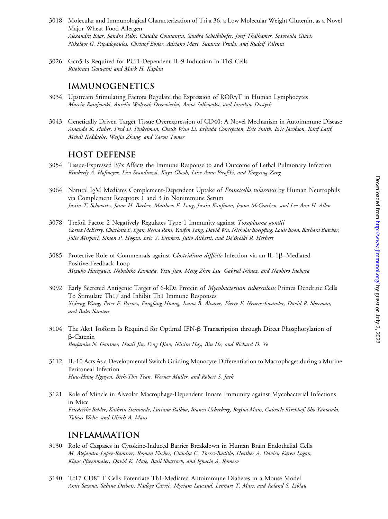- 3018 Molecular and Immunological Characterization of Tri a 36, a Low Molecular Weight Glutenin, as a Novel Major Wheat Food Allergen Alexandra Baar, Sandra Pahr, Claudia Constantin, Sandra Scheiblhofer, Josef Thalhamer, Stavroula Giavi, Nikolaos G. Papadopoulos, Christof Ebner, Adriano Mari, Susanne Vrtala, and Rudolf Valenta
- 3026 Gcn5 Is Required for PU.1-Dependent IL-9 Induction in Th9 Cells Ritobrata Goswami and Mark H. Kaplan

## **IMMUNOGENETICS**

- 3034 Upstream Stimulating Factors Regulate the Expression of RORgT in Human Lymphocytes Marcin Ratajewski, Aurelia Walczak-Drzewiecka, Anna Sałkowska, and Jarosław Dastych
- 3043 Genetically Driven Target Tissue Overexpression of CD40: A Novel Mechanism in Autoimmune Disease Amanda K. Huber, Fred D. Finkelman, Cheuk Wun Li, Erlinda Concepcion, Eric Smith, Eric Jacobson, Rauf Latif, Mehdi Keddache, Weijia Zhang, and Yaron Tomer

### **HOST DEFENSE**

- 3054 Tissue-Expressed B7x Affects the Immune Response to and Outcome of Lethal Pulmonary Infection Kimberly A. Hofmeyer, Lisa Scandiuzzi, Kaya Ghosh, Liise-Anne Pirofski, and Xingxing Zang
- 3064 Natural IgM Mediates Complement-Dependent Uptake of Francisella tularensis by Human Neutrophils via Complement Receptors 1 and 3 in Nonimmune Serum Justin T. Schwartz, Jason H. Barker, Matthew E. Long, Justin Kaufman, Jenna McCracken, and Lee-Ann H. Allen
- 3078 Trefoil Factor 2 Negatively Regulates Type 1 Immunity against Toxoplasma gondii Cortez McBerry, Charlotte E. Egan, Reena Rani, Yanfen Yang, David Wu, Nicholas Boespflug, Louis Boon, Barbara Butcher, Julie Mirpuri, Simon P. Hogan, Eric Y. Denkers, Julio Aliberti, and De'Broski R. Herbert
- 3085 Protective Role of Commensals against *Clostridium difficile* Infection via an IL-1 $\beta$ –Mediated Positive-Feedback Loop Mizuho Hasegawa, Nobuhiko Kamada, Yizu Jiao, Meng Zhen Liu, Gabriel Núñez, and Naohiro Inohara
- 3092 Early Secreted Antigenic Target of 6-kDa Protein of *Mycobacterium tuberculosis* Primes Dendritic Cells To Stimulate Th17 and Inhibit Th1 Immune Responses Xisheng Wang, Peter F. Barnes, Fangfang Huang, Ivana B. Alvarez, Pierre F. Neuenschwander, David R. Sherman, and Buka Samten
- 3104 The Akt1 Isoform Is Required for Optimal IFN- $\beta$  Transcription through Direct Phosphorylation of b-Catenin Benjamin N. Gantner, Huali Jin, Feng Qian, Nissim Hay, Bin He, and Richard D. Ye
- 3112 IL-10 Acts As a Developmental Switch Guiding Monocyte Differentiation to Macrophages during a Murine Peritoneal Infection Huu-Hung Nguyen, Bich-Thu Tran, Werner Muller, and Robert S. Jack
- 3121 Role of Mincle in Alveolar Macrophage-Dependent Innate Immunity against Mycobacterial Infections in Mice Friederike Behler, Kathrin Steinwede, Luciana Balboa, Bianca Ueberberg, Regina Maus, Gabriele Kirchhof, Sho Yamasaki, Tobias Welte, and Ulrich A. Maus

### **INFLAMMATION**

- 3130 Role of Caspases in Cytokine-Induced Barrier Breakdown in Human Brain Endothelial Cells M. Alejandro Lopez-Ramirez, Roman Fischer, Claudia C. Torres-Badillo, Heather A. Davies, Karen Logan, Klaus Pfizenmaier, David K. Male, Basil Sharrack, and Ignacio A. Romero
- 3140 Tc17 CD8<sup>+</sup> T Cells Potentiate Th1-Mediated Autoimmune Diabetes in a Mouse Model Amit Saxena, Sabine Desbois, Nadège Carrié, Myriam Lawand, Lennart T. Mars, and Roland S. Liblau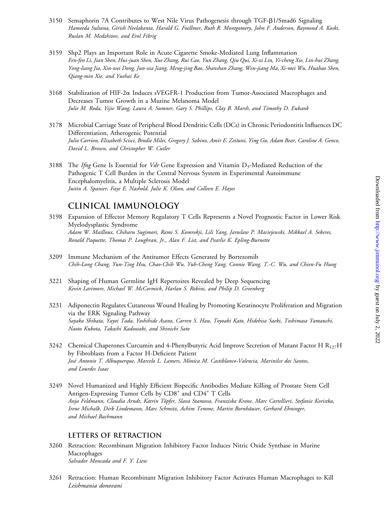- 3150 Semaphorin 7A Contributes to West Nile Virus Pathogenesis through TGF-B1/Smad6 Signaling Hameeda Sultana, Girish Neelakanta, Harald G. Foellmer, Ruth R. Montgomery, John F. Anderson, Raymond A. Koski, Ruslan M. Medzhitov, and Erol Fikrig
- 3159 Shp2 Plays an Important Role in Acute Cigarette Smoke-Mediated Lung Inflammation Fen-fen Li, Jian Shen, Hui-juan Shen, Xue Zhang, Rui Cao, Yun Zhang, Qiu Qui, Xi-xi Lin, Yi-cheng Xie, Lin-hui Zhang, Yong-liang Jia, Xin-wei Dong, Jun-xia Jiang, Meng-jing Bao, Shanshan Zhang, Wen-jiang Ma, Xi-mei Wu, Huahao Shen, Qiang-min Xie, and Yuehai Ke
- 3168 Stabilization of HIF-2a Induces sVEGFR-1 Production from Tumor-Associated Macrophages and Decreases Tumor Growth in a Murine Melanoma Model Julie M. Roda, Yijie Wang, Laura A. Sumner, Gary S. Phillips, Clay B. Marsh, and Timothy D. Eubank
- 3178 Microbial Carriage State of Peripheral Blood Dendritic Cells (DCs) in Chronic Periodontitis Influences DC Differentiation, Atherogenic Potential Julio Carrion, Elizabeth Scisci, Brodie Miles, Gregory J. Sabino, Amir E. Zeituni, Ying Gu, Adam Bear, Caroline A. Genco, David L. Brown, and Christopher W. Cutler
- 3188 The Ifng Gene Is Essential for Vdr Gene Expression and Vitamin  $D_3$ -Mediated Reduction of the Pathogenic T Cell Burden in the Central Nervous System in Experimental Autoimmune Encephalomyelitis, a Multiple Sclerosis Model Justin A. Spanier, Faye E. Nashold, Julie K. Olson, and Colleen E. Hayes

# **CLINICAL IMMUNOLOGY**

- 3198 Expansion of Effector Memory Regulatory T Cells Represents a Novel Prognostic Factor in Lower Risk Myelodysplastic Syndrome Adam W. Mailloux, Chiharu Sugimori, Rami S. Komrokji, Lili Yang, Jaroslaw P. Maciejewski, Mikkael A. Sekeres, Ronald Paquette, Thomas P. Loughran, Jr., Alan F. List, and Pearlie K. Epling-Burnette
- 3209 Immune Mechanism of the Antitumor Effects Generated by Bortezomib Chih-Long Chang, Yun-Ting Hsu, Chao-Chih Wu, Yuh-Cheng Yang, Connie Wang, T.-C. Wu, and Chien-Fu Hung
- 3221 Shaping of Human Germline IgH Repertoires Revealed by Deep Sequencing Kevin Larimore, Michael W. McCormick, Harlan S. Robins, and Philip D. Greenberg
- 3231 Adiponectin Regulates Cutaneous Wound Healing by Promoting Keratinocyte Proliferation and Migration via the ERK Signaling Pathway Sayaka Shibata, Yayoi Tada, Yoshihide Asano, Carren S. Hau, Toyoaki Kato, Hidehisa Saeki, Toshimasa Yamauchi, Naoto Kubota, Takashi Kadowaki, and Shinichi Sato
- 3242 Chemical Chaperones Curcumin and 4-Phenylbutyric Acid Improve Secretion of Mutant Factor H  $R_{127}H$ by Fibroblasts from a Factor H-Deficient Patient José Antonio T. Albuquerque, Marcelo L. Lamers, Mónica M. Castiblanco-Valencia, Marinilce dos Santos, and Lourdes Isaac
- 3249 Novel Humanized and Highly Efficient Bispecific Antibodies Mediate Killing of Prostate Stem Cell Antigen-Expressing Tumor Cells by CD8<sup>+</sup> and CD4<sup>+</sup> T Cells Anja Feldmann, Claudia Arndt, Katrin Töpfer, Slava Stamova, Franziska Krone, Marc Cartellieri, Stefanie Koristka, Irene Michalk, Dirk Lindemann, Marc Schmitz, Achim Temme, Martin Bornhäuser, Gerhard Ehninger, and Michael Bachmann

#### **LETTERS OF RETRACTION**

- 3260 Retraction: Recombinant Migration Inhibitory Factor Induces Nitric Oxide Synthase in Murine Macrophages Salvador Moncada and F. Y. Liew
- 3261 Retraction: Human Recombinant Migration Inhibitory Factor Activates Human Macrophages to Kill Leishmania donovani